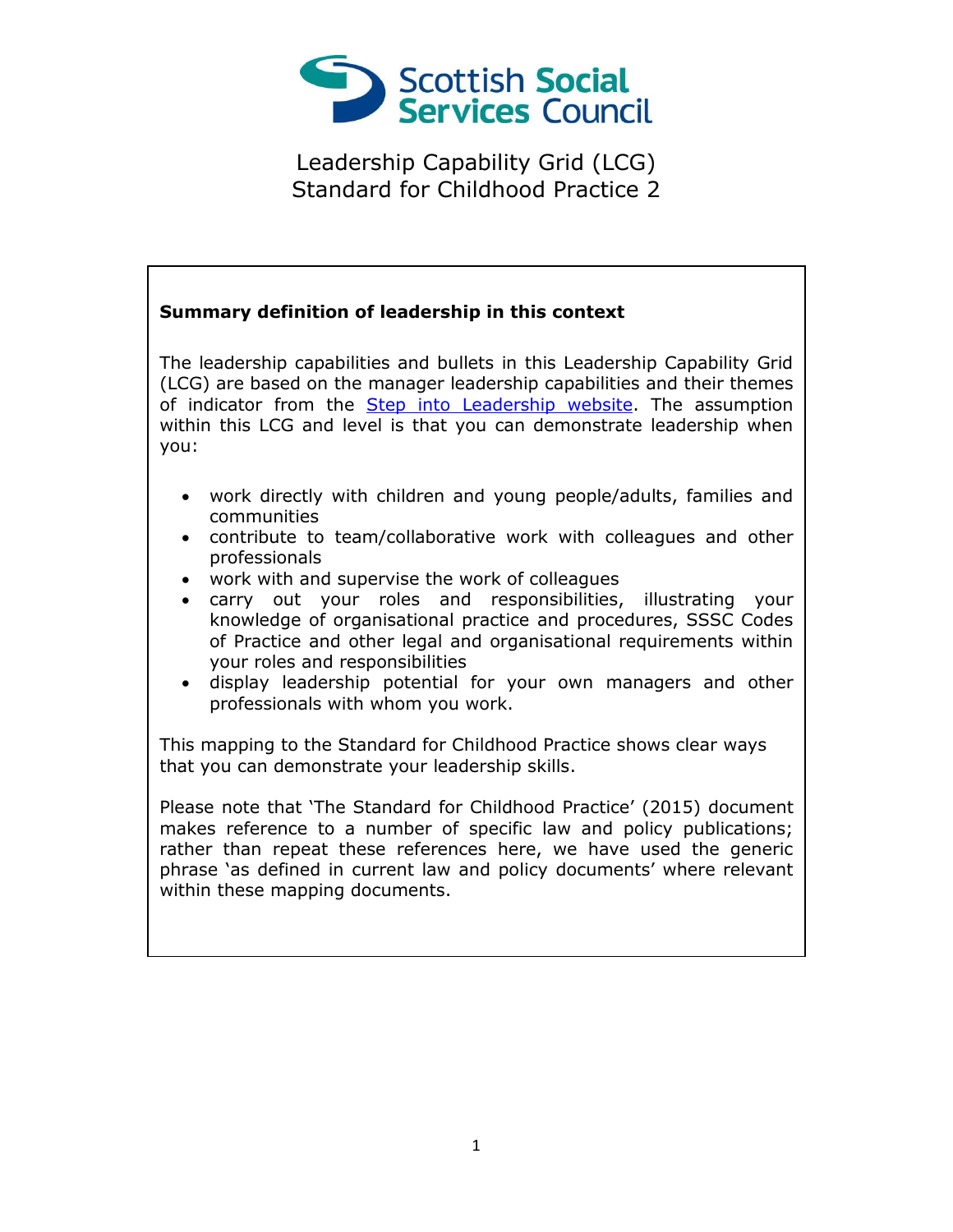

#### **Summary definition of leadership in this context**

The leadership capabilities and bullets in this Leadership Capability Grid (LCG) are based on the manager leadership capabilities and their themes of indicator from the [Step into Leadership website.](http://www.stepintoleadership.info/) The assumption within this LCG and level is that you can demonstrate leadership when you:

- work directly with children and young people/adults, families and communities
- contribute to team/collaborative work with colleagues and other professionals
- work with and supervise the work of colleagues
- carry out your roles and responsibilities, illustrating your knowledge of organisational practice and procedures, SSSC Codes of Practice and other legal and organisational requirements within your roles and responsibilities
- display leadership potential for your own managers and other professionals with whom you work.

This mapping to the Standard for Childhood Practice shows clear ways that you can demonstrate your leadership skills.

Please note that 'The Standard for Childhood Practice' (2015) document makes reference to a number of specific law and policy publications; rather than repeat these references here, we have used the generic phrase 'as defined in current law and policy documents' where relevant within these mapping documents.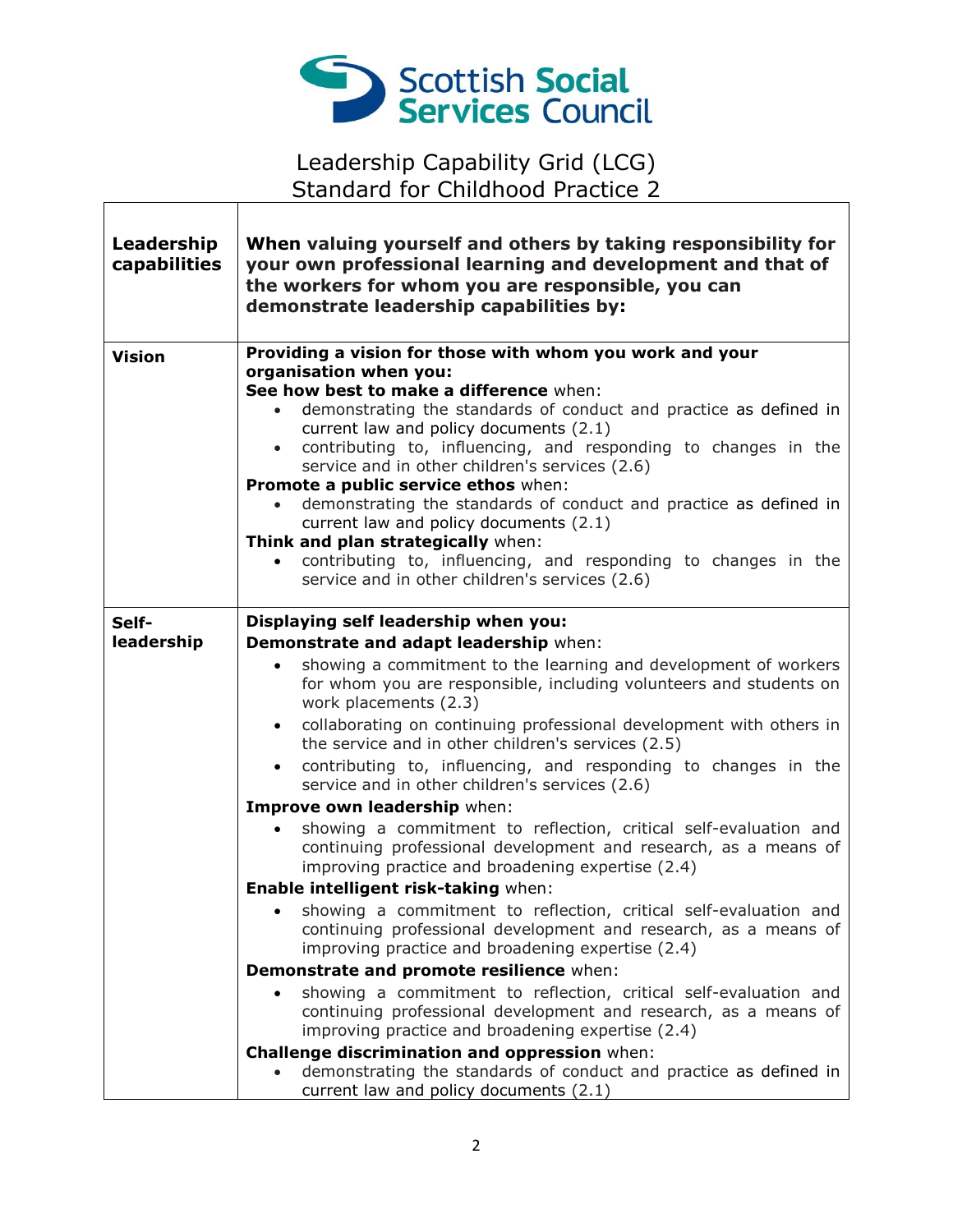

٦

 $\Gamma$ 

T

| Leadership<br>capabilities | When valuing yourself and others by taking responsibility for<br>your own professional learning and development and that of<br>the workers for whom you are responsible, you can<br>demonstrate leadership capabilities by:                                                                                                                                                                                                                                                                                                                                                                                                                                                                                                                                                                                                                                                                                                                                                                                                                                                                                                             |
|----------------------------|-----------------------------------------------------------------------------------------------------------------------------------------------------------------------------------------------------------------------------------------------------------------------------------------------------------------------------------------------------------------------------------------------------------------------------------------------------------------------------------------------------------------------------------------------------------------------------------------------------------------------------------------------------------------------------------------------------------------------------------------------------------------------------------------------------------------------------------------------------------------------------------------------------------------------------------------------------------------------------------------------------------------------------------------------------------------------------------------------------------------------------------------|
| <b>Vision</b>              | Providing a vision for those with whom you work and your<br>organisation when you:<br>See how best to make a difference when:<br>demonstrating the standards of conduct and practice as defined in<br>current law and policy documents (2.1)<br>contributing to, influencing, and responding to changes in the<br>service and in other children's services (2.6)<br>Promote a public service ethos when:<br>demonstrating the standards of conduct and practice as defined in<br>current law and policy documents (2.1)<br>Think and plan strategically when:<br>contributing to, influencing, and responding to changes in the<br>service and in other children's services (2.6)                                                                                                                                                                                                                                                                                                                                                                                                                                                       |
| Self-<br>leadership        | Displaying self leadership when you:<br>Demonstrate and adapt leadership when:<br>showing a commitment to the learning and development of workers<br>$\bullet$<br>for whom you are responsible, including volunteers and students on<br>work placements (2.3)<br>collaborating on continuing professional development with others in<br>$\bullet$<br>the service and in other children's services (2.5)<br>contributing to, influencing, and responding to changes in the<br>$\bullet$<br>service and in other children's services (2.6)<br>Improve own leadership when:<br>showing a commitment to reflection, critical self-evaluation and<br>$\bullet$<br>continuing professional development and research, as a means of<br>improving practice and broadening expertise (2.4)<br>Enable intelligent risk-taking when:<br>• showing a commitment to reflection, critical self-evaluation and<br>continuing professional development and research, as a means of<br>improving practice and broadening expertise (2.4)<br>Demonstrate and promote resilience when:<br>showing a commitment to reflection, critical self-evaluation and |
|                            | continuing professional development and research, as a means of<br>improving practice and broadening expertise (2.4)<br>Challenge discrimination and oppression when:<br>demonstrating the standards of conduct and practice as defined in<br>current law and policy documents (2.1)                                                                                                                                                                                                                                                                                                                                                                                                                                                                                                                                                                                                                                                                                                                                                                                                                                                    |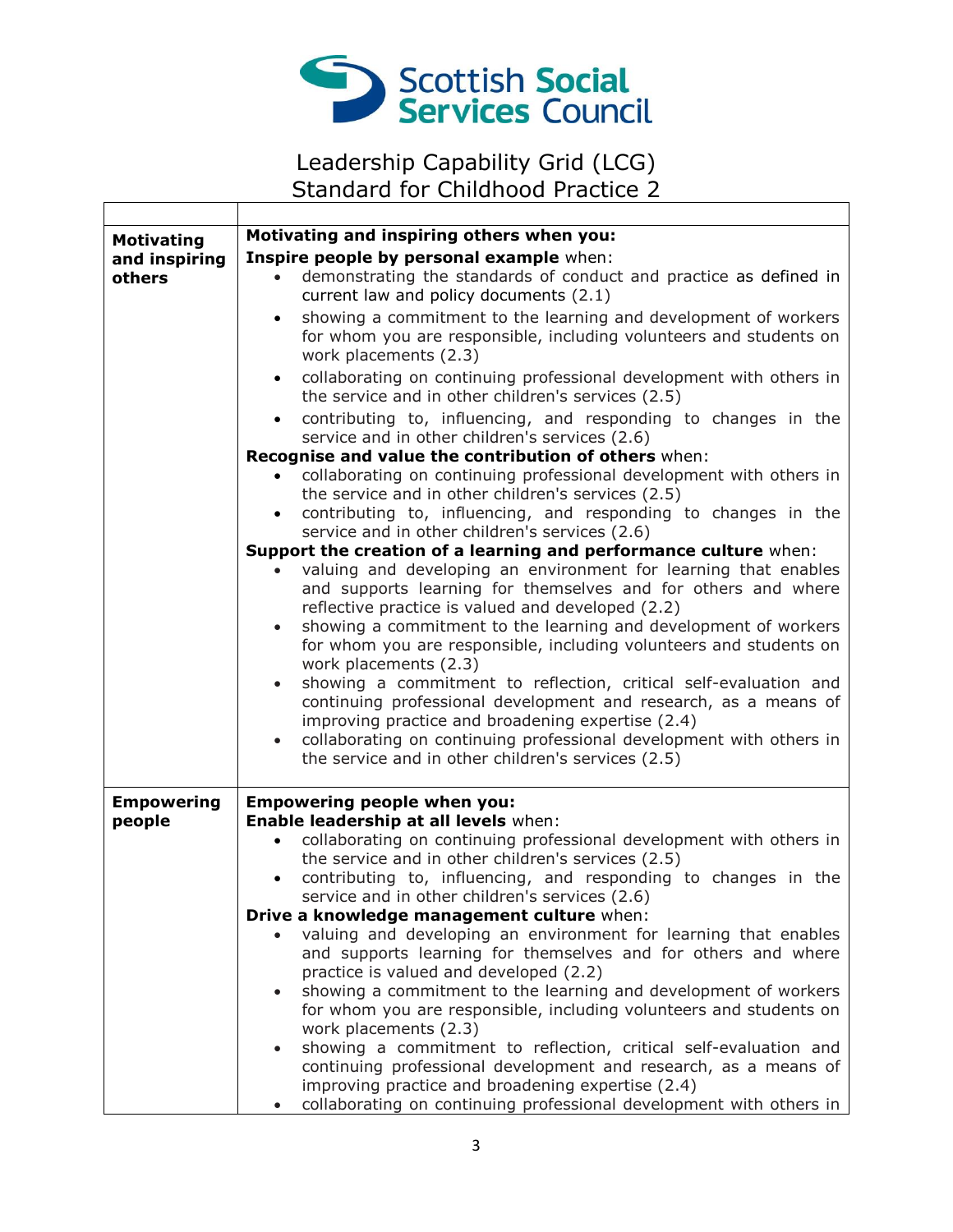

٦

 $\Gamma$ 

 $\overline{\phantom{a}}$ 

| <b>Motivating</b> | Motivating and inspiring others when you:                                        |
|-------------------|----------------------------------------------------------------------------------|
| and inspiring     | Inspire people by personal example when:                                         |
| others            | demonstrating the standards of conduct and practice as defined in                |
|                   | current law and policy documents (2.1)                                           |
|                   | showing a commitment to the learning and development of workers<br>$\bullet$     |
|                   | for whom you are responsible, including volunteers and students on               |
|                   | work placements (2.3)                                                            |
|                   | collaborating on continuing professional development with others in              |
|                   | $\bullet$<br>the service and in other children's services (2.5)                  |
|                   | contributing to, influencing, and responding to changes in the<br>$\bullet$      |
|                   | service and in other children's services (2.6)                                   |
|                   | Recognise and value the contribution of others when:                             |
|                   | collaborating on continuing professional development with others in              |
|                   | the service and in other children's services (2.5)                               |
|                   | contributing to, influencing, and responding to changes in the<br>$\bullet$      |
|                   | service and in other children's services (2.6)                                   |
|                   | Support the creation of a learning and performance culture when:                 |
|                   | valuing and developing an environment for learning that enables                  |
|                   | and supports learning for themselves and for others and where                    |
|                   | reflective practice is valued and developed (2.2)                                |
|                   | showing a commitment to the learning and development of workers<br>$\bullet$     |
|                   | for whom you are responsible, including volunteers and students on               |
|                   | work placements (2.3)                                                            |
|                   | showing a commitment to reflection, critical self-evaluation and<br>$\bullet$    |
|                   | continuing professional development and research, as a means of                  |
|                   | improving practice and broadening expertise (2.4)                                |
|                   | collaborating on continuing professional development with others in              |
|                   | the service and in other children's services (2.5)                               |
|                   |                                                                                  |
| <b>Empowering</b> | <b>Empowering people when you:</b>                                               |
| people            | Enable leadership at all levels when:                                            |
|                   | collaborating on continuing professional development with others in<br>$\bullet$ |
|                   | the service and in other children's services (2.5)                               |
|                   | contributing to, influencing, and responding to changes in the<br>$\bullet$      |
|                   | service and in other children's services (2.6)                                   |
|                   | Drive a knowledge management culture when:                                       |
|                   | valuing and developing an environment for learning that enables                  |
|                   | and supports learning for themselves and for others and where                    |
|                   | practice is valued and developed (2.2)                                           |
|                   | showing a commitment to the learning and development of workers                  |
|                   | for whom you are responsible, including volunteers and students on               |
|                   | work placements (2.3)                                                            |
|                   | showing a commitment to reflection, critical self-evaluation and                 |
|                   | continuing professional development and research, as a means of                  |
|                   | improving practice and broadening expertise (2.4)                                |
|                   | collaborating on continuing professional development with others in              |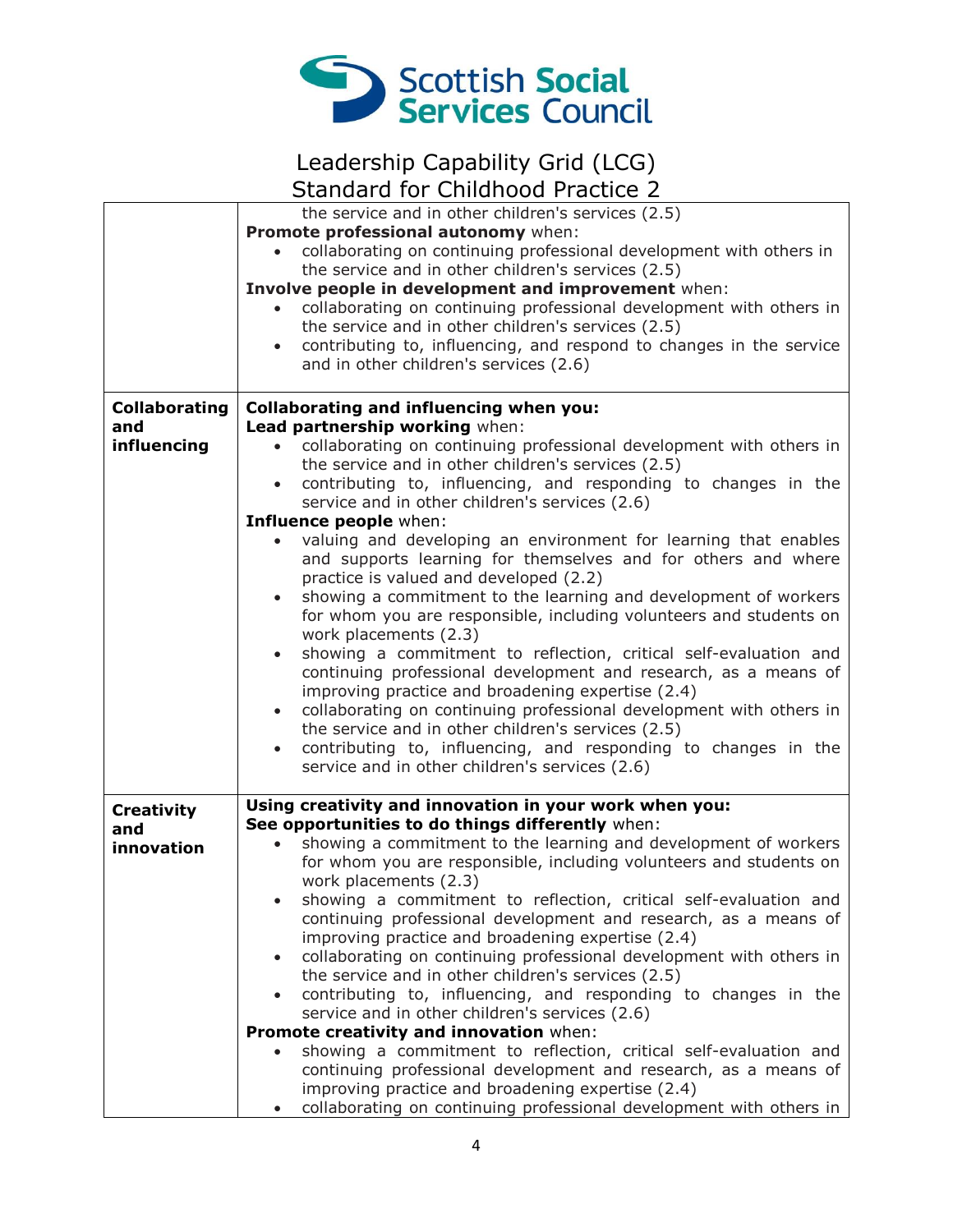

|                      | the service and in other children's services (2.5)                               |
|----------------------|----------------------------------------------------------------------------------|
|                      | Promote professional autonomy when:                                              |
|                      | collaborating on continuing professional development with others in              |
|                      | the service and in other children's services (2.5)                               |
|                      | Involve people in development and improvement when:                              |
|                      | collaborating on continuing professional development with others in              |
|                      | the service and in other children's services (2.5)                               |
|                      | contributing to, influencing, and respond to changes in the service              |
|                      | and in other children's services (2.6)                                           |
|                      |                                                                                  |
|                      |                                                                                  |
| <b>Collaborating</b> | <b>Collaborating and influencing when you:</b>                                   |
| and                  | Lead partnership working when:                                                   |
| influencing          | collaborating on continuing professional development with others in<br>$\bullet$ |
|                      | the service and in other children's services (2.5)                               |
|                      | contributing to, influencing, and responding to changes in the<br>$\bullet$      |
|                      | service and in other children's services (2.6)                                   |
|                      | Influence people when:                                                           |
|                      | valuing and developing an environment for learning that enables                  |
|                      | and supports learning for themselves and for others and where                    |
|                      | practice is valued and developed (2.2)                                           |
|                      | showing a commitment to the learning and development of workers<br>$\bullet$     |
|                      | for whom you are responsible, including volunteers and students on               |
|                      | work placements (2.3)                                                            |
|                      | showing a commitment to reflection, critical self-evaluation and<br>$\bullet$    |
|                      | continuing professional development and research, as a means of                  |
|                      | improving practice and broadening expertise (2.4)                                |
|                      |                                                                                  |
|                      | collaborating on continuing professional development with others in              |
|                      | the service and in other children's services (2.5)                               |
|                      | contributing to, influencing, and responding to changes in the                   |
|                      | service and in other children's services (2.6)                                   |
|                      |                                                                                  |
| <b>Creativity</b>    | Using creativity and innovation in your work when you:                           |
| and                  | See opportunities to do things differently when:                                 |
| innovation           | showing a commitment to the learning and development of workers                  |
|                      | for whom you are responsible, including volunteers and students on               |
|                      | work placements (2.3)                                                            |
|                      | showing a commitment to reflection, critical self-evaluation and                 |
|                      | continuing professional development and research, as a means of                  |
|                      | improving practice and broadening expertise (2.4)                                |
|                      | collaborating on continuing professional development with others in<br>$\bullet$ |
|                      | the service and in other children's services (2.5)                               |
|                      | contributing to, influencing, and responding to changes in the<br>$\bullet$      |
|                      | service and in other children's services (2.6)                                   |
|                      | Promote creativity and innovation when:                                          |
|                      |                                                                                  |
|                      | showing a commitment to reflection, critical self-evaluation and                 |
|                      | continuing professional development and research, as a means of                  |
|                      | improving practice and broadening expertise (2.4)                                |
|                      | collaborating on continuing professional development with others in<br>$\bullet$ |